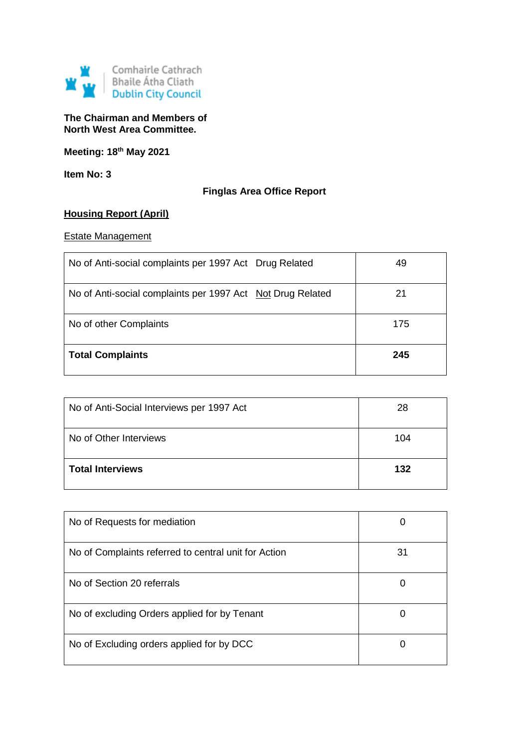

#### **The Chairman and Members of North West Area Committee.**

**Meeting: 18th May 2021**

**Item No: 3**

## **Finglas Area Office Report**

## **Housing Report (April)**

#### Estate Management

| No of Anti-social complaints per 1997 Act Drug Related     | 49  |
|------------------------------------------------------------|-----|
| No of Anti-social complaints per 1997 Act Not Drug Related | 21  |
| No of other Complaints                                     | 175 |
| <b>Total Complaints</b>                                    | 245 |

| No of Anti-Social Interviews per 1997 Act | 28  |
|-------------------------------------------|-----|
| No of Other Interviews                    | 104 |
| <b>Total Interviews</b>                   | 132 |

| No of Requests for mediation                         | U  |
|------------------------------------------------------|----|
| No of Complaints referred to central unit for Action | 31 |
| No of Section 20 referrals                           | 0  |
| No of excluding Orders applied for by Tenant         | 0  |
| No of Excluding orders applied for by DCC            | O  |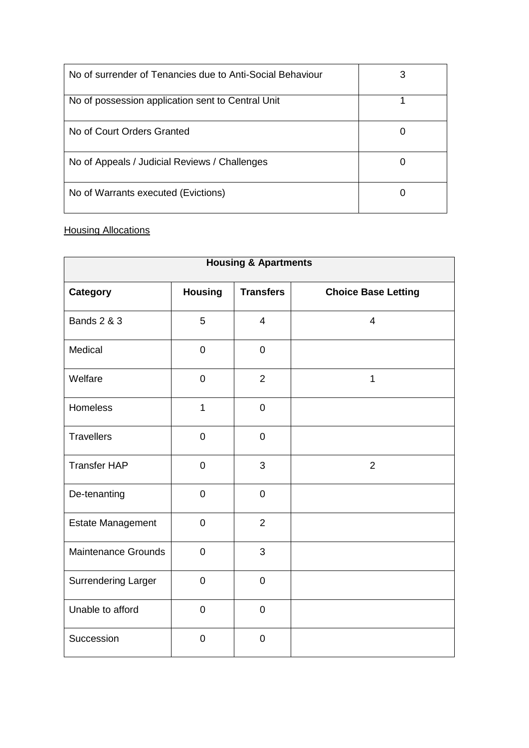| No of surrender of Tenancies due to Anti-Social Behaviour |  |
|-----------------------------------------------------------|--|
| No of possession application sent to Central Unit         |  |
| No of Court Orders Granted                                |  |
| No of Appeals / Judicial Reviews / Challenges             |  |
| No of Warrants executed (Evictions)                       |  |

# **Housing Allocations**

| <b>Housing &amp; Apartments</b> |                  |                  |                            |
|---------------------------------|------------------|------------------|----------------------------|
| <b>Category</b>                 | <b>Housing</b>   | <b>Transfers</b> | <b>Choice Base Letting</b> |
| <b>Bands 2 &amp; 3</b>          | 5                | $\overline{4}$   | $\overline{4}$             |
| Medical                         | $\pmb{0}$        | $\mathsf 0$      |                            |
| Welfare                         | $\mathbf 0$      | $\overline{2}$   | 1                          |
| Homeless                        | 1                | $\mathbf 0$      |                            |
| <b>Travellers</b>               | $\mathbf 0$      | $\overline{0}$   |                            |
| <b>Transfer HAP</b>             | $\mathbf 0$      | 3                | $\overline{2}$             |
| De-tenanting                    | $\mathbf 0$      | $\mathbf 0$      |                            |
| <b>Estate Management</b>        | $\boldsymbol{0}$ | $\overline{2}$   |                            |
| <b>Maintenance Grounds</b>      | $\mathbf 0$      | 3                |                            |
| <b>Surrendering Larger</b>      | $\overline{0}$   | $\overline{0}$   |                            |
| Unable to afford                | $\boldsymbol{0}$ | $\pmb{0}$        |                            |
| Succession                      | $\mathbf 0$      | $\mathbf 0$      |                            |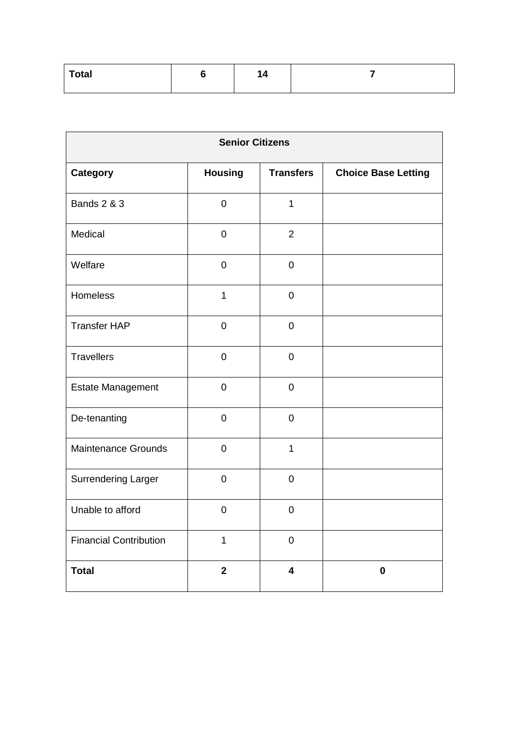| <b>Total</b> | . – |  |
|--------------|-----|--|
|              |     |  |

| <b>Senior Citizens</b>        |                |                         |                            |
|-------------------------------|----------------|-------------------------|----------------------------|
| Category                      | <b>Housing</b> | <b>Transfers</b>        | <b>Choice Base Letting</b> |
| <b>Bands 2 &amp; 3</b>        | $\pmb{0}$      | $\mathbf{1}$            |                            |
| Medical                       | $\mathbf 0$    | $\overline{2}$          |                            |
| Welfare                       | $\mathbf 0$    | $\mathsf 0$             |                            |
| Homeless                      | $\mathbf{1}$   | $\pmb{0}$               |                            |
| <b>Transfer HAP</b>           | $\mathbf 0$    | $\mathbf 0$             |                            |
| <b>Travellers</b>             | $\mathbf 0$    | $\mathbf 0$             |                            |
| <b>Estate Management</b>      | $\pmb{0}$      | $\pmb{0}$               |                            |
| De-tenanting                  | $\mathbf 0$    | $\mathbf 0$             |                            |
| <b>Maintenance Grounds</b>    | $\mathbf 0$    | $\mathbf{1}$            |                            |
| <b>Surrendering Larger</b>    | $\mathbf 0$    | $\pmb{0}$               |                            |
| Unable to afford              | $\pmb{0}$      | $\pmb{0}$               |                            |
| <b>Financial Contribution</b> | $\mathbf{1}$   | $\mathbf 0$             |                            |
| <b>Total</b>                  | $\overline{2}$ | $\overline{\mathbf{4}}$ | $\mathbf 0$                |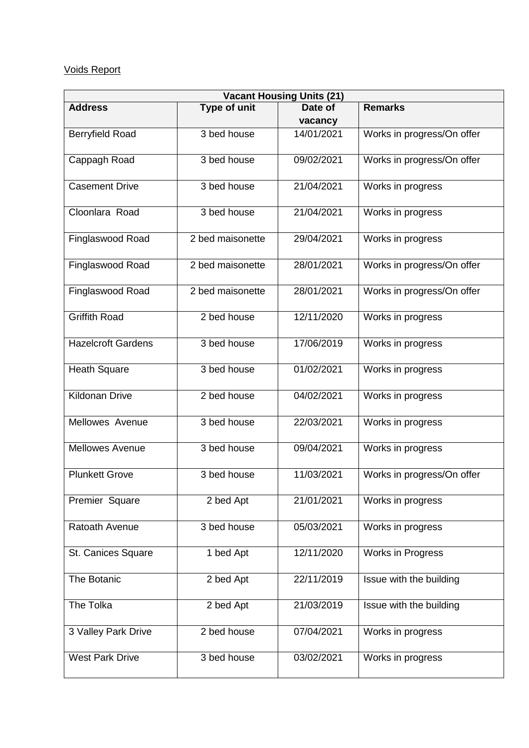## Voids Report

| <b>Vacant Housing Units (21)</b> |                  |            |                                |  |
|----------------------------------|------------------|------------|--------------------------------|--|
| <b>Address</b>                   | Type of unit     | Date of    | <b>Remarks</b>                 |  |
|                                  |                  | vacancy    |                                |  |
| <b>Berryfield Road</b>           | 3 bed house      | 14/01/2021 | Works in progress/On offer     |  |
| Cappagh Road                     | 3 bed house      | 09/02/2021 | Works in progress/On offer     |  |
| <b>Casement Drive</b>            | 3 bed house      | 21/04/2021 | Works in progress              |  |
| Cloonlara Road                   | 3 bed house      | 21/04/2021 | Works in progress              |  |
| Finglaswood Road                 | 2 bed maisonette | 29/04/2021 | Works in progress              |  |
| Finglaswood Road                 | 2 bed maisonette | 28/01/2021 | Works in progress/On offer     |  |
| Finglaswood Road                 | 2 bed maisonette | 28/01/2021 | Works in progress/On offer     |  |
| <b>Griffith Road</b>             | 2 bed house      | 12/11/2020 | Works in progress              |  |
| <b>Hazelcroft Gardens</b>        | 3 bed house      | 17/06/2019 | Works in progress              |  |
| <b>Heath Square</b>              | 3 bed house      | 01/02/2021 | Works in progress              |  |
| <b>Kildonan Drive</b>            | 2 bed house      | 04/02/2021 | Works in progress              |  |
| Mellowes Avenue                  | 3 bed house      | 22/03/2021 | Works in progress              |  |
| <b>Mellowes Avenue</b>           | 3 bed house      | 09/04/2021 | Works in progress              |  |
| <b>Plunkett Grove</b>            | 3 bed house      | 11/03/2021 | Works in progress/On offer     |  |
| Premier Square                   | 2 bed Apt        | 21/01/2021 | Works in progress              |  |
| Ratoath Avenue                   | 3 bed house      | 05/03/2021 | Works in progress              |  |
| St. Canices Square               | 1 bed Apt        | 12/11/2020 | Works in Progress              |  |
| The Botanic                      | 2 bed Apt        | 22/11/2019 | <b>Issue with the building</b> |  |
| The Tolka                        | 2 bed Apt        | 21/03/2019 | Issue with the building        |  |
| 3 Valley Park Drive              | 2 bed house      | 07/04/2021 | Works in progress              |  |
| <b>West Park Drive</b>           | 3 bed house      | 03/02/2021 | Works in progress              |  |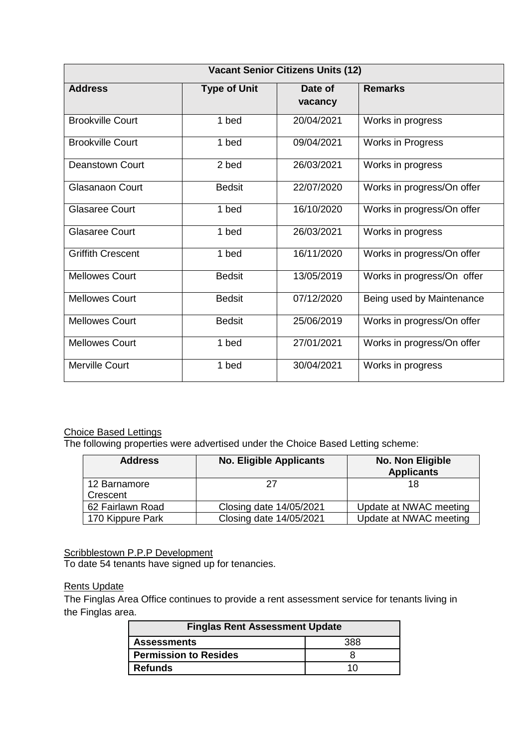| <b>Vacant Senior Citizens Units (12)</b> |                     |                    |                            |  |
|------------------------------------------|---------------------|--------------------|----------------------------|--|
| <b>Address</b>                           | <b>Type of Unit</b> | Date of<br>vacancy | <b>Remarks</b>             |  |
| <b>Brookville Court</b>                  | 1 bed               | 20/04/2021         | Works in progress          |  |
| <b>Brookville Court</b>                  | 1 bed               | 09/04/2021         | <b>Works in Progress</b>   |  |
| Deanstown Court                          | 2 bed               | 26/03/2021         | Works in progress          |  |
| <b>Glasanaon Court</b>                   | <b>Bedsit</b>       | 22/07/2020         | Works in progress/On offer |  |
| <b>Glasaree Court</b>                    | 1 bed               | 16/10/2020         | Works in progress/On offer |  |
| <b>Glasaree Court</b>                    | 1 bed               | 26/03/2021         | Works in progress          |  |
| <b>Griffith Crescent</b>                 | 1 bed               | 16/11/2020         | Works in progress/On offer |  |
| <b>Mellowes Court</b>                    | <b>Bedsit</b>       | 13/05/2019         | Works in progress/On offer |  |
| <b>Mellowes Court</b>                    | <b>Bedsit</b>       | 07/12/2020         | Being used by Maintenance  |  |
| <b>Mellowes Court</b>                    | <b>Bedsit</b>       | 25/06/2019         | Works in progress/On offer |  |
| <b>Mellowes Court</b>                    | 1 bed               | 27/01/2021         | Works in progress/On offer |  |
| Merville Court                           | 1 bed               | 30/04/2021         | Works in progress          |  |

#### Choice Based Lettings

The following properties were advertised under the Choice Based Letting scheme:

| <b>Address</b>           | <b>No. Eligible Applicants</b> | No. Non Eligible<br><b>Applicants</b> |
|--------------------------|--------------------------------|---------------------------------------|
| 12 Barnamore<br>Crescent |                                | 18                                    |
| 62 Fairlawn Road         | Closing date 14/05/2021        | Update at NWAC meeting                |
| 170 Kippure Park         | Closing date 14/05/2021        | Update at NWAC meeting                |

**Scribblestown P.P.P Development** 

To date 54 tenants have signed up for tenancies.

#### **Rents Update**

The Finglas Area Office continues to provide a rent assessment service for tenants living in the Finglas area.

| <b>Finglas Rent Assessment Update</b> |     |  |
|---------------------------------------|-----|--|
| <b>Assessments</b><br>388             |     |  |
| <b>Permission to Resides</b>          |     |  |
| Refunds                               | 11. |  |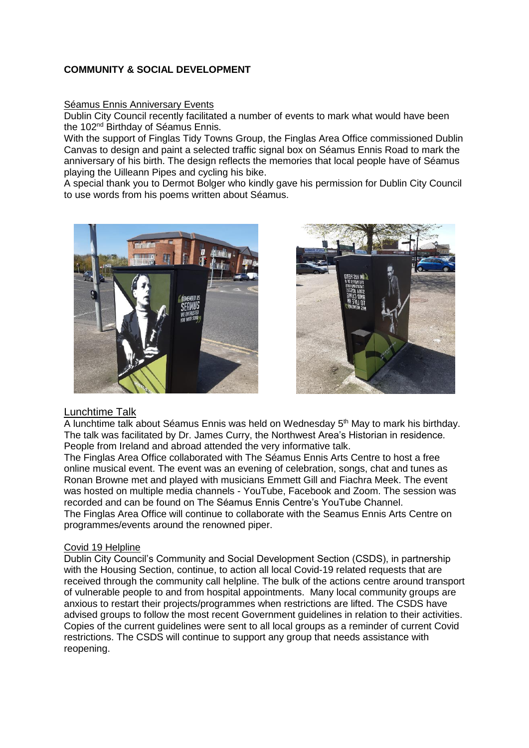### **COMMUNITY & SOCIAL DEVELOPMENT**

#### Séamus Ennis Anniversary Events

Dublin City Council recently facilitated a number of events to mark what would have been the 102nd Birthday of Séamus Ennis.

With the support of Finglas Tidy Towns Group, the Finglas Area Office commissioned Dublin Canvas to design and paint a selected traffic signal box on Séamus Ennis Road to mark the anniversary of his birth. The design reflects the memories that local people have of Séamus playing the Uilleann Pipes and cycling his bike.

A special thank you to Dermot Bolger who kindly gave his permission for Dublin City Council to use words from his poems written about Séamus.





#### Lunchtime Talk

A lunchtime talk about Séamus Ennis was held on Wednesday 5th May to mark his birthday. The talk was facilitated by Dr. James Curry, the Northwest Area's Historian in residence. People from Ireland and abroad attended the very informative talk.

The Finglas Area Office collaborated with The Séamus Ennis Arts Centre to host a free online musical event. The event was an evening of celebration, songs, chat and tunes as Ronan Browne met and played with musicians Emmett Gill and Fiachra Meek. The event was hosted on multiple media channels - YouTube, Facebook and Zoom. The session was recorded and can be found on The Séamus Ennis Centre's YouTube Channel. The Finglas Area Office will continue to collaborate with the Seamus Ennis Arts Centre on programmes/events around the renowned piper.

#### Covid 19 Helpline

Dublin City Council's Community and Social Development Section (CSDS), in partnership with the Housing Section, continue, to action all local Covid-19 related requests that are received through the community call helpline. The bulk of the actions centre around transport of vulnerable people to and from hospital appointments. Many local community groups are anxious to restart their projects/programmes when restrictions are lifted. The CSDS have advised groups to follow the most recent Government guidelines in relation to their activities. Copies of the current guidelines were sent to all local groups as a reminder of current Covid restrictions. The CSDS will continue to support any group that needs assistance with reopening.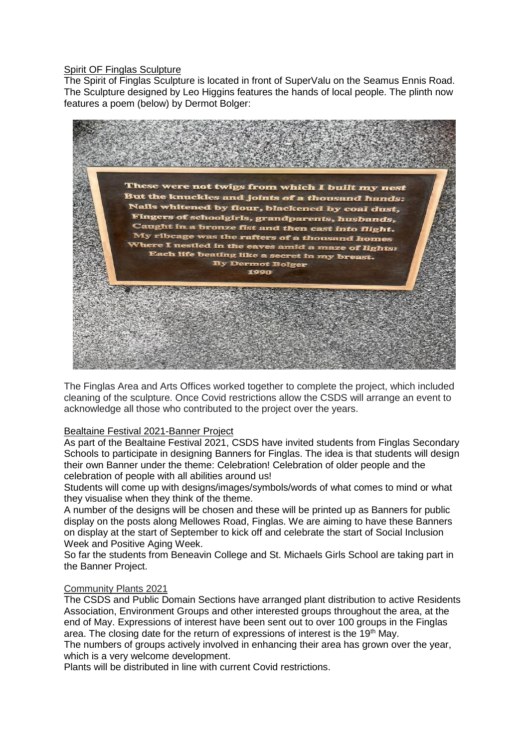#### Spirit OF Finglas Sculpture

The Spirit of Finglas Sculpture is located in front of SuperValu on the Seamus Ennis Road. The Sculpture designed by Leo Higgins features the hands of local people. The plinth now features a poem (below) by Dermot Bolger:



The Finglas Area and Arts Offices worked together to complete the project, which included cleaning of the sculpture. Once Covid restrictions allow the CSDS will arrange an event to acknowledge all those who contributed to the project over the years.

#### Bealtaine Festival 2021-Banner Project

As part of the Bealtaine Festival 2021, CSDS have invited students from Finglas Secondary Schools to participate in designing Banners for Finglas. The idea is that students will design their own Banner under the theme: Celebration! Celebration of older people and the celebration of people with all abilities around us!

Students will come up with designs/images/symbols/words of what comes to mind or what they visualise when they think of the theme.

A number of the designs will be chosen and these will be printed up as Banners for public display on the posts along Mellowes Road, Finglas. We are aiming to have these Banners on display at the start of September to kick off and celebrate the start of Social Inclusion Week and Positive Aging Week.

So far the students from Beneavin College and St. Michaels Girls School are taking part in the Banner Project.

#### Community Plants 2021

The CSDS and Public Domain Sections have arranged plant distribution to active Residents Association, Environment Groups and other interested groups throughout the area, at the end of May. Expressions of interest have been sent out to over 100 groups in the Finglas area. The closing date for the return of expressions of interest is the  $19<sup>th</sup>$  May.

The numbers of groups actively involved in enhancing their area has grown over the year, which is a very welcome development.

Plants will be distributed in line with current Covid restrictions.